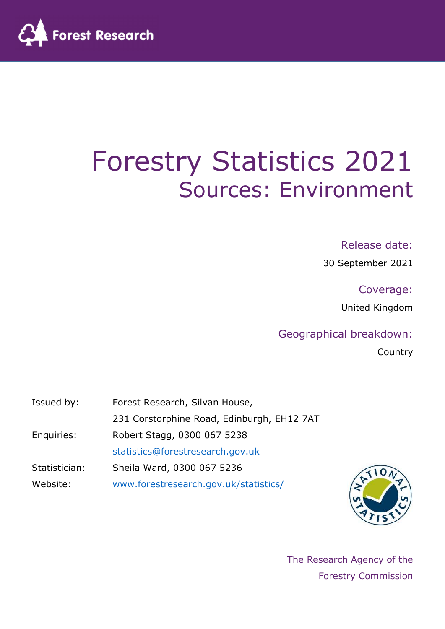

# Forestry Statistics 2021 Sources: Environment

## Release date:

30 September 2021

Coverage:

United Kingdom

## Geographical breakdown:

**Country** 

| Issued by:    | Forest Research, Silvan House,             |
|---------------|--------------------------------------------|
|               | 231 Corstorphine Road, Edinburgh, EH12 7AT |
| Enquiries:    | Robert Stagg, 0300 067 5238                |
|               | statistics@forestresearch.gov.uk           |
| Statistician: | Sheila Ward, 0300 067 5236                 |
| Website:      | www.forestresearch.gov.uk/statistics/      |



The Research Agency of the Forestry Commission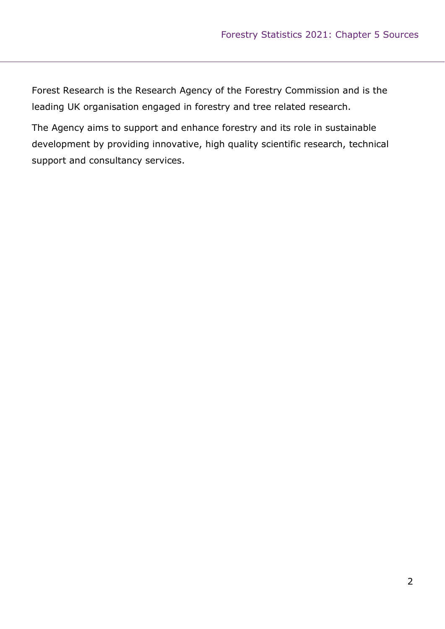Forest Research is the Research Agency of the Forestry Commission and is the leading UK organisation engaged in forestry and tree related research.

The Agency aims to support and enhance forestry and its role in sustainable development by providing innovative, high quality scientific research, technical support and consultancy services.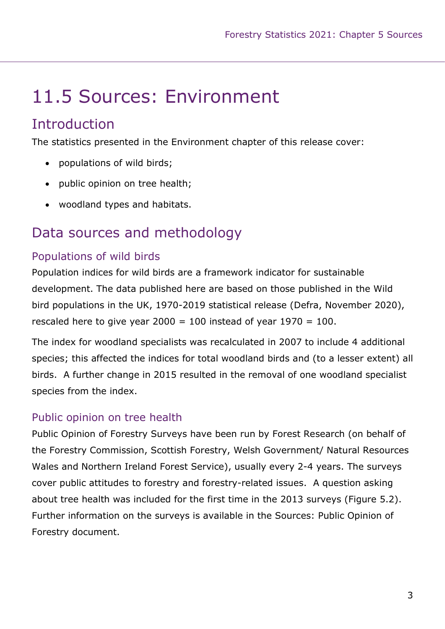# 11.5 Sources: Environment

## **Introduction**

The statistics presented in the Environment chapter of this release cover:

- populations of wild birds;
- public opinion on tree health;
- woodland types and habitats.

## Data sources and methodology

## Populations of wild birds

Population indices for wild birds are a framework indicator for sustainable development. The data published here are based on those published in the Wild bird populations in the UK, 1970-2019 statistical release (Defra, November 2020), rescaled here to give year  $2000 = 100$  instead of year  $1970 = 100$ .

The index for woodland specialists was recalculated in 2007 to include 4 additional species; this affected the indices for total woodland birds and (to a lesser extent) all birds. A further change in 2015 resulted in the removal of one woodland specialist species from the index.

#### Public opinion on tree health

Public Opinion of Forestry Surveys have been run by Forest Research (on behalf of the Forestry Commission, Scottish Forestry, Welsh Government/ Natural Resources Wales and Northern Ireland Forest Service), usually every 2-4 years. The surveys cover public attitudes to forestry and forestry-related issues. A question asking about tree health was included for the first time in the 2013 surveys (Figure 5.2). Further information on the surveys is available in the Sources: Public Opinion of Forestry document.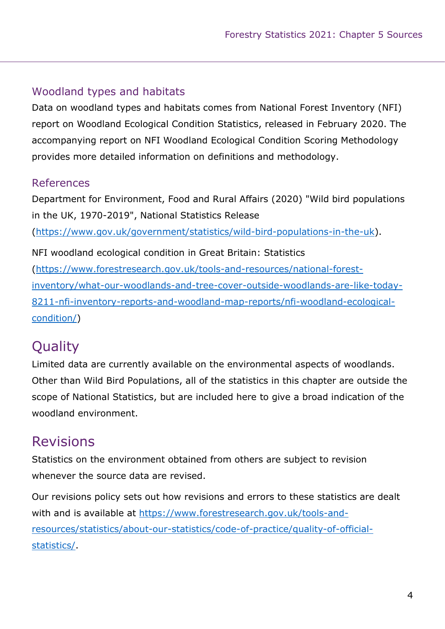## Woodland types and habitats

Data on woodland types and habitats comes from National Forest Inventory (NFI) report on Woodland Ecological Condition Statistics, released in February 2020. The accompanying report on NFI Woodland Ecological Condition Scoring Methodology provides more detailed information on definitions and methodology.

## References

Department for Environment, Food and Rural Affairs (2020) "Wild bird populations in the UK, 1970-2019", National Statistics Release

(https://www.gov.uk/government/statistics/wild-bird-populations-in-the-uk).

NFI woodland ecological condition in Great Britain: Statistics (https://www.forestresearch.gov.uk/tools-and-resources/national-forestinventory/what-our-woodlands-and-tree-cover-outside-woodlands-are-like-today-8211-nfi-inventory-reports-and-woodland-map-reports/nfi-woodland-ecologicalcondition/)

# **Quality**

Limited data are currently available on the environmental aspects of woodlands. Other than Wild Bird Populations, all of the statistics in this chapter are outside the scope of National Statistics, but are included here to give a broad indication of the woodland environment.

# Revisions

Statistics on the environment obtained from others are subject to revision whenever the source data are revised.

Our revisions policy sets out how revisions and errors to these statistics are dealt with and is available at https://www.forestresearch.gov.uk/tools-andresources/statistics/about-our-statistics/code-of-practice/quality-of-officialstatistics/.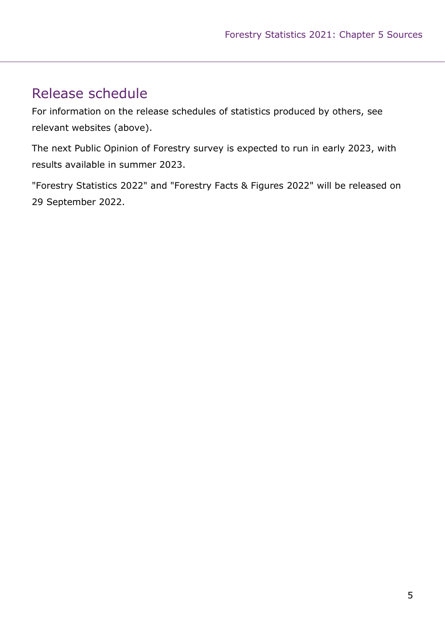# Release schedule

For information on the release schedules of statistics produced by others, see relevant websites (above).

The next Public Opinion of Forestry survey is expected to run in early 2023, with results available in summer 2023.

"Forestry Statistics 2022" and "Forestry Facts & Figures 2022" will be released on 29 September 2022.